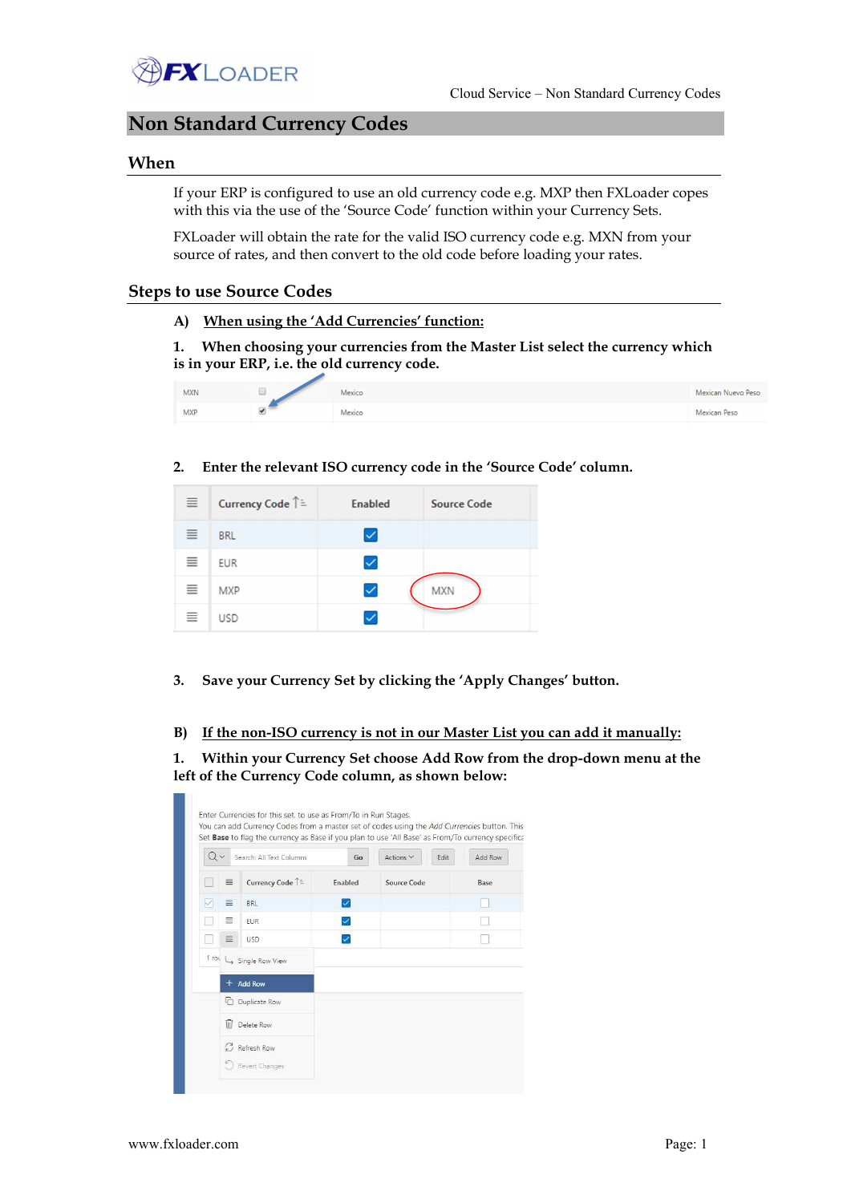

# Non Standard Currency Codes

### When

If your ERP is configured to use an old currency code e.g. MXP then FXLoader copes with this via the use of the 'Source Code' function within your Currency Sets.

FXLoader will obtain the rate for the valid ISO currency code e.g. MXN from your source of rates, and then convert to the old code before loading your rates.

## Steps to use Source Codes

A) When using the 'Add Currencies' function:

1. When choosing your currencies from the Master List select the currency which is in your ERP, i.e. the old currency code.

| <b>MXN</b> | Mexico | Mexican Nuevo Peso |
|------------|--------|--------------------|
| <b>MXP</b> | Mexico | Mexican Peso       |

#### 2. Enter the relevant ISO currency code in the 'Source Code' column.

| $\equiv$ | Currency Code ↑ = | <b>Enabled</b> | <b>Source Code</b> |
|----------|-------------------|----------------|--------------------|
| 亖        | <b>BRL</b>        | $\checkmark$   |                    |
| 亖        | <b>EUR</b>        |                |                    |
| 亖        | <b>MXP</b>        | ✓              | <b>MXN</b>         |
| ≣        | <b>USD</b>        |                |                    |

3. Save your Currency Set by clicking the 'Apply Changes' button.

B) If the non-ISO currency is not in our Master List you can add it manually:

1. Within your Currency Set choose Add Row from the drop-down menu at the left of the Currency Code column, as shown below: